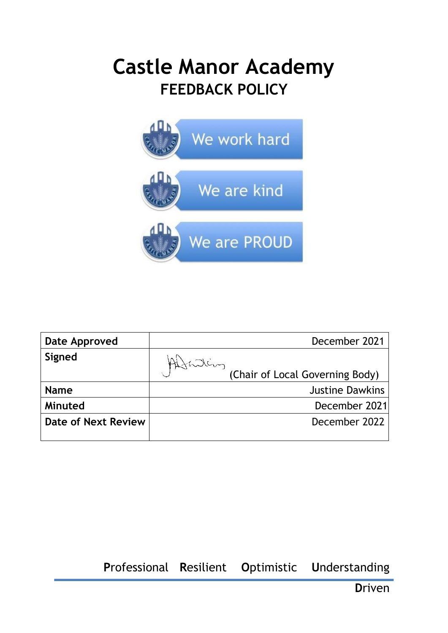# **Castle Manor Academy FEEDBACK POLICY**



| Date Approved       | December 2021                   |
|---------------------|---------------------------------|
| Signed              |                                 |
|                     | (Chair of Local Governing Body) |
| <b>Name</b>         | <b>Justine Dawkins</b>          |
| Minuted             | December 2021                   |
| Date of Next Review | December 2022                   |
|                     |                                 |

**P**rofessional **R**esilient **O**ptimistic **U**nderstanding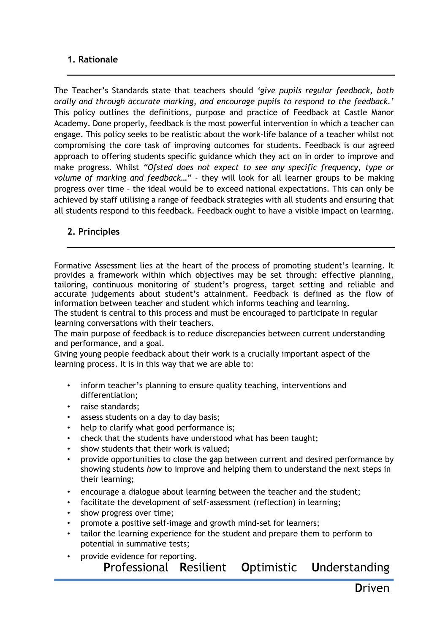## **1. Rationale**

The Teacher's Standards state that teachers should *'give pupils regular feedback, both orally and through accurate marking, and encourage pupils to respond to the feedback.'* This policy outlines the definitions, purpose and practice of Feedback at Castle Manor Academy. Done properly, feedback is the most powerful intervention in which a teacher can engage. This policy seeks to be realistic about the work-life balance of a teacher whilst not compromising the core task of improving outcomes for students. Feedback is our agreed approach to offering students specific guidance which they act on in order to improve and make progress. Whilst *"Ofsted does not expect to see any specific frequency, type or volume of marking and feedback…"* - they will look for all learner groups to be making progress over time – the ideal would be to exceed national expectations. This can only be achieved by staff utilising a range of feedback strategies with all students and ensuring that all students respond to this feedback. Feedback ought to have a visible impact on learning.

## **2. Principles**

Formative Assessment lies at the heart of the process of promoting student's learning. It provides a framework within which objectives may be set through: effective planning, tailoring, continuous monitoring of student's progress, target setting and reliable and accurate judgements about student's attainment. Feedback is defined as the flow of information between teacher and student which informs teaching and learning.

The student is central to this process and must be encouraged to participate in regular learning conversations with their teachers.

The main purpose of feedback is to reduce discrepancies between current understanding and performance, and a goal.

Giving young people feedback about their work is a crucially important aspect of the learning process. It is in this way that we are able to:

- inform teacher's planning to ensure quality teaching, interventions and differentiation;
- raise standards;
- assess students on a day to day basis;
- help to clarify what good performance is;
- check that the students have understood what has been taught;
- show students that their work is valued;
- provide opportunities to close the gap between current and desired performance by showing students *how* to improve and helping them to understand the next steps in their learning;
- encourage a dialogue about learning between the teacher and the student;
- facilitate the development of self-assessment (reflection) in learning;
- show progress over time;
- promote a positive self-image and growth mind-set for learners;
- tailor the learning experience for the student and prepare them to perform to potential in summative tests;
- **P**rofessional **R**esilient **O**ptimistic **U**nderstanding provide evidence for reporting.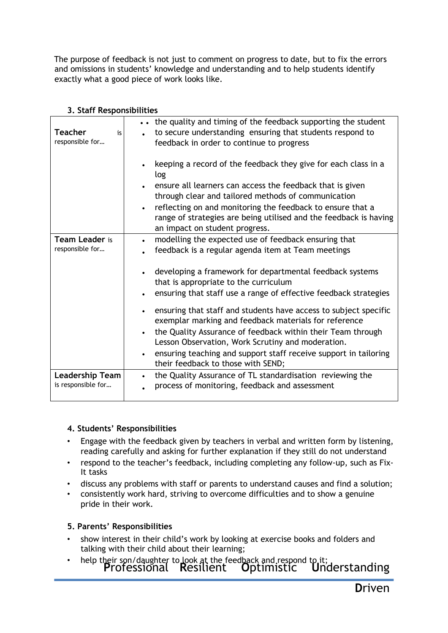The purpose of feedback is not just to comment on progress to date, but to fix the errors and omissions in students' knowledge and understanding and to help students identify exactly what a good piece of work looks like.

| <b>Teacher</b><br>is<br>responsible for      | the quality and timing of the feedback supporting the student<br>to secure understanding ensuring that students respond to<br>feedback in order to continue to progress<br>keeping a record of the feedback they give for each class in a<br>log                                                                                                                     |
|----------------------------------------------|----------------------------------------------------------------------------------------------------------------------------------------------------------------------------------------------------------------------------------------------------------------------------------------------------------------------------------------------------------------------|
|                                              | ensure all learners can access the feedback that is given<br>through clear and tailored methods of communication<br>reflecting on and monitoring the feedback to ensure that a<br>range of strategies are being utilised and the feedback is having<br>an impact on student progress.                                                                                |
| Team Leader is<br>responsible for            | modelling the expected use of feedback ensuring that<br>$\bullet$<br>feedback is a regular agenda item at Team meetings<br>developing a framework for departmental feedback systems<br>that is appropriate to the curriculum<br>ensuring that staff use a range of effective feedback strategies<br>ensuring that staff and students have access to subject specific |
|                                              | exemplar marking and feedback materials for reference<br>the Quality Assurance of feedback within their Team through<br>$\bullet$<br>Lesson Observation, Work Scrutiny and moderation.<br>ensuring teaching and support staff receive support in tailoring<br>their feedback to those with SEND;                                                                     |
| <b>Leadership Team</b><br>is responsible for | the Quality Assurance of TL standardisation reviewing the<br>process of monitoring, feedback and assessment                                                                                                                                                                                                                                                          |

## **3. Staff Responsibilities**

# **4. Students' Responsibilities**

- Engage with the feedback given by teachers in verbal and written form by listening, reading carefully and asking for further explanation if they still do not understand
- respond to the teacher's feedback, including completing any follow-up, such as Fix-It tasks
- discuss any problems with staff or parents to understand causes and find a solution;
- consistently work hard, striving to overcome difficulties and to show a genuine pride in their work.

# **5. Parents' Responsibilities**

- show interest in their child's work by looking at exercise books and folders and talking with their child about their learning;
- help their son/daughter to look at the feedback and respond to it;<br>**P**rofessional Resilient Optimistic Understanding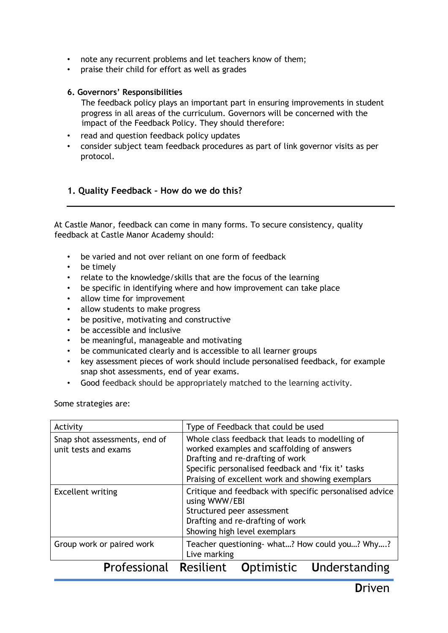- note any recurrent problems and let teachers know of them;
- praise their child for effort as well as grades

#### **6. Governors' Responsibilities**

The feedback policy plays an important part in ensuring improvements in student progress in all areas of the curriculum. Governors will be concerned with the impact of the Feedback Policy. They should therefore:

- read and question feedback policy updates
- consider subject team feedback procedures as part of link governor visits as per protocol.

## **1. Quality Feedback – How do we do this?**

At Castle Manor, feedback can come in many forms. To secure consistency, quality feedback at Castle Manor Academy should:

- be varied and not over reliant on one form of feedback
- be timely
- relate to the knowledge/skills that are the focus of the learning
- be specific in identifying where and how improvement can take place
- allow time for improvement
- allow students to make progress
- be positive, motivating and constructive
- be accessible and inclusive
- be meaningful, manageable and motivating
- be communicated clearly and is accessible to all learner groups
- key assessment pieces of work should include personalised feedback, for example snap shot assessments, end of year exams.
- Good feedback should be appropriately matched to the learning activity.

Some strategies are:

| Activity                                              | Type of Feedback that could be used                                                                                                                                                                                                        |
|-------------------------------------------------------|--------------------------------------------------------------------------------------------------------------------------------------------------------------------------------------------------------------------------------------------|
| Snap shot assessments, end of<br>unit tests and exams | Whole class feedback that leads to modelling of<br>worked examples and scaffolding of answers<br>Drafting and re-drafting of work<br>Specific personalised feedback and 'fix it' tasks<br>Praising of excellent work and showing exemplars |
| <b>Excellent writing</b>                              | Critique and feedback with specific personalised advice<br>using WWW/EBI<br>Structured peer assessment<br>Drafting and re-drafting of work<br>Showing high level exemplars                                                                 |
| Group work or paired work                             | Teacher questioning- what? How could you? Why?<br>Live marking                                                                                                                                                                             |
| <b>Professional Resilient</b>                         | Optimistic<br>Understanding                                                                                                                                                                                                                |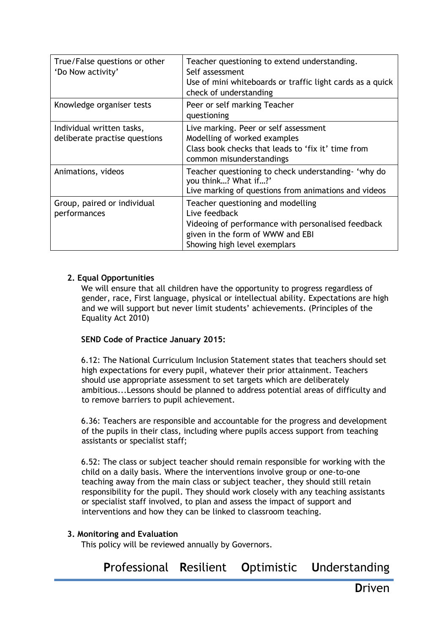| True/False questions or other<br>'Do Now activity'         | Teacher questioning to extend understanding.<br>Self assessment<br>Use of mini whiteboards or traffic light cards as a quick<br>check of understanding                       |
|------------------------------------------------------------|------------------------------------------------------------------------------------------------------------------------------------------------------------------------------|
| Knowledge organiser tests                                  | Peer or self marking Teacher<br>questioning                                                                                                                                  |
| Individual written tasks,<br>deliberate practise questions | Live marking. Peer or self assessment<br>Modelling of worked examples<br>Class book checks that leads to 'fix it' time from<br>common misunderstandings                      |
| Animations, videos                                         | Teacher questioning to check understanding- 'why do<br>you think? What if?'<br>Live marking of questions from animations and videos                                          |
| Group, paired or individual<br>performances                | Teacher questioning and modelling<br>Live feedback<br>Videoing of performance with personalised feedback<br>given in the form of WWW and EBI<br>Showing high level exemplars |

## **2. Equal Opportunities**

We will ensure that all children have the opportunity to progress regardless of gender, race, First language, physical or intellectual ability. Expectations are high and we will support but never limit students' achievements. (Principles of the Equality Act 2010)

## **SEND Code of Practice January 2015:**

6.12: The National Curriculum Inclusion Statement states that teachers should set high expectations for every pupil, whatever their prior attainment. Teachers should use appropriate assessment to set targets which are deliberately ambitious...Lessons should be planned to address potential areas of difficulty and to remove barriers to pupil achievement.

6.36: Teachers are responsible and accountable for the progress and development of the pupils in their class, including where pupils access support from teaching assistants or specialist staff;

6.52: The class or subject teacher should remain responsible for working with the child on a daily basis. Where the interventions involve group or one-to-one teaching away from the main class or subject teacher, they should still retain responsibility for the pupil. They should work closely with any teaching assistants or specialist staff involved, to plan and assess the impact of support and interventions and how they can be linked to classroom teaching.

## **3. Monitoring and Evaluation**

This policy will be reviewed annually by Governors.

**P**rofessional **R**esilient **O**ptimistic **U**nderstanding